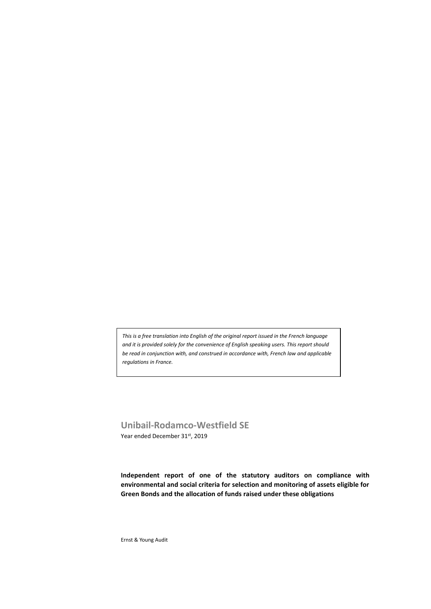*This is a free translation into English of the original report issued in the French language and it is provided solely for the convenience of English speaking users. This report should be read in conjunction with, and construed in accordance with, French law and applicable regulations in France.*

**Unibail-Rodamco-Westfield SE** Year ended December 31st, 2019

**Independent report of one of the statutory auditors on compliance with environmental and social criteria for selection and monitoring of assets eligible for Green Bonds and the allocation of funds raised under these obligations**

Ernst & Young Audit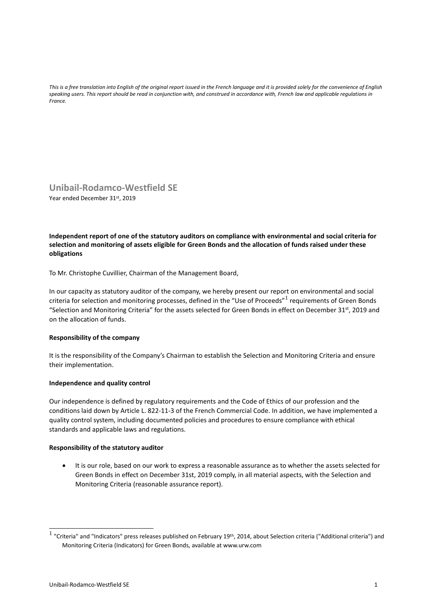*This is a free translation into English of the original report issued in the French language and it is provided solely for the convenience of English speaking users. This report should be read in conjunction with, and construed in accordance with, French law and applicable regulations in France.*

# **Unibail-Rodamco-Westfield SE**

Year ended December 31st, 2019

**Independent report of one of the statutory auditors on compliance with environmental and social criteria for selection and monitoring of assets eligible for Green Bonds and the allocation of funds raised under these obligations**

To Mr. Christophe Cuvillier, Chairman of the Management Board,

In our capacity as statutory auditor of the company, we hereby present our report on environmental and social criteria for selection and monitoring processes, defined in the "Use of Proceeds" <sup>1</sup> requirements of Green Bonds "Selection and Monitoring Criteria" for the assets selected for Green Bonds in effect on December 31<sup>st</sup>, 2019 and on the allocation of funds.

## **Responsibility of the company**

It is the responsibility of the Company's Chairman to establish the Selection and Monitoring Criteria and ensure their implementation.

## **Independence and quality control**

Our independence is defined by regulatory requirements and the Code of Ethics of our profession and the conditions laid down by Article L. 822-11-3 of the French Commercial Code. In addition, we have implemented a quality control system, including documented policies and procedures to ensure compliance with ethical standards and applicable laws and regulations.

#### **Responsibility of the statutory auditor**

• It is our role, based on our work to express a reasonable assurance as to whether the assets selected for Green Bonds in effect on December 31st, 2019 comply, in all material aspects, with the Selection and Monitoring Criteria (reasonable assurance report).

 $^1$  "Criteria" and "Indicators" press releases published on February 19<sup>th</sup>, 2014, about Selection criteria ("Additional criteria") and Monitoring Criteria (Indicators) for Green Bonds, available at www.urw.com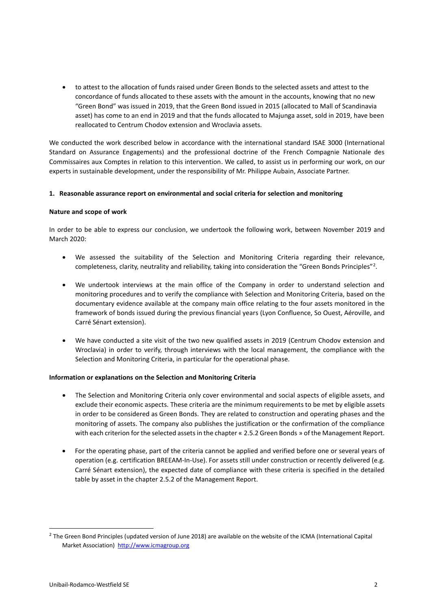• to attest to the allocation of funds raised under Green Bonds to the selected assets and attest to the concordance of funds allocated to these assets with the amount in the accounts, knowing that no new "Green Bond" was issued in 2019, that the Green Bond issued in 2015 (allocated to Mall of Scandinavia asset) has come to an end in 2019 and that the funds allocated to Majunga asset, sold in 2019, have been reallocated to Centrum Chodov extension and Wroclavia assets.

We conducted the work described below in accordance with the international standard ISAE 3000 (International Standard on Assurance Engagements) and the professional doctrine of the French Compagnie Nationale des Commissaires aux Comptes in relation to this intervention. We called, to assist us in performing our work, on our experts in sustainable development, under the responsibility of Mr. Philippe Aubain, Associate Partner.

#### **1. Reasonable assurance report on environmental and social criteria for selection and monitoring**

#### **Nature and scope of work**

In order to be able to express our conclusion, we undertook the following work, between November 2019 and March 2020:

- We assessed the suitability of the Selection and Monitoring Criteria regarding their relevance, completeness, clarity, neutrality and reliability, taking into consideration the "Green Bonds Principles"<sup>2</sup>.
- We undertook interviews at the main office of the Company in order to understand selection and monitoring procedures and to verify the compliance with Selection and Monitoring Criteria, based on the documentary evidence available at the company main office relating to the four assets monitored in the framework of bonds issued during the previous financial years (Lyon Confluence, So Ouest, Aéroville, and Carré Sénart extension).
- We have conducted a site visit of the two new qualified assets in 2019 (Centrum Chodov extension and Wroclavia) in order to verify, through interviews with the local management, the compliance with the Selection and Monitoring Criteria, in particular for the operational phase.

#### **Information or explanations on the Selection and Monitoring Criteria**

- The Selection and Monitoring Criteria only cover environmental and social aspects of eligible assets, and exclude their economic aspects. These criteria are the minimum requirements to be met by eligible assets in order to be considered as Green Bonds. They are related to construction and operating phases and the monitoring of assets. The company also publishes the justification or the confirmation of the compliance with each criterion for the selected assets in the chapter « 2.5.2 Green Bonds » of the Management Report.
- For the operating phase, part of the criteria cannot be applied and verified before one or several years of operation (e.g. certification BREEAM-In-Use). For assets still under construction or recently delivered (e.g. Carré Sénart extension), the expected date of compliance with these criteria is specified in the detailed table by asset in the chapter 2.5.2 of the Management Report.

 $^2$  The Green Bond Principles (updated version of June 2018) are available on the website of the ICMA (International Capital Market Association) [http://www.icmagroup.org](http://www.icmagroup.org/)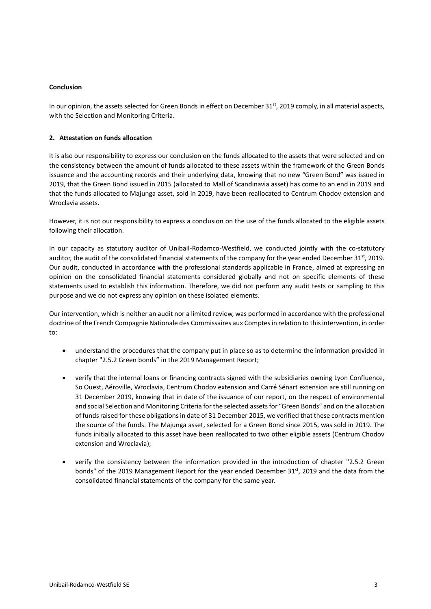#### **Conclusion**

In our opinion, the assets selected for Green Bonds in effect on December 31<sup>st</sup>, 2019 comply, in all material aspects, with the Selection and Monitoring Criteria.

### **2. Attestation on funds allocation**

It is also our responsibility to express our conclusion on the funds allocated to the assets that were selected and on the consistency between the amount of funds allocated to these assets within the framework of the Green Bonds issuance and the accounting records and their underlying data, knowing that no new "Green Bond" was issued in 2019, that the Green Bond issued in 2015 (allocated to Mall of Scandinavia asset) has come to an end in 2019 and that the funds allocated to Majunga asset, sold in 2019, have been reallocated to Centrum Chodov extension and Wroclavia assets.

However, it is not our responsibility to express a conclusion on the use of the funds allocated to the eligible assets following their allocation.

In our capacity as statutory auditor of Unibail-Rodamco-Westfield, we conducted jointly with the co-statutory auditor, the audit of the consolidated financial statements of the company for the year ended December 31 $^{\rm st}$ , 2019. Our audit, conducted in accordance with the professional standards applicable in France, aimed at expressing an opinion on the consolidated financial statements considered globally and not on specific elements of these statements used to establish this information. Therefore, we did not perform any audit tests or sampling to this purpose and we do not express any opinion on these isolated elements.

Our intervention, which is neither an audit nor a limited review, was performed in accordance with the professional doctrine of the French Compagnie Nationale des Commissaires aux Comptes in relation to this intervention, in order to:

- understand the procedures that the company put in place so as to determine the information provided in chapter "2.5.2 Green bonds" in the 2019 Management Report;
- verify that the internal loans or financing contracts signed with the subsidiaries owning Lyon Confluence, So Ouest, Aéroville, Wroclavia, Centrum Chodov extension and Carré Sénart extension are still running on 31 December 2019, knowing that in date of the issuance of our report, on the respect of environmental and social Selection and Monitoring Criteria for the selected assets for "Green Bonds" and on the allocation of funds raised for these obligations in date of 31 December 2015, we verified that these contracts mention the source of the funds. The Majunga asset, selected for a Green Bond since 2015, was sold in 2019. The funds initially allocated to this asset have been reallocated to two other eligible assets (Centrum Chodov extension and Wroclavia);
- verify the consistency between the information provided in the introduction of chapter "2.5.2 Green bonds" of the 2019 Management Report for the year ended December 31<sup>st</sup>, 2019 and the data from the consolidated financial statements of the company for the same year.